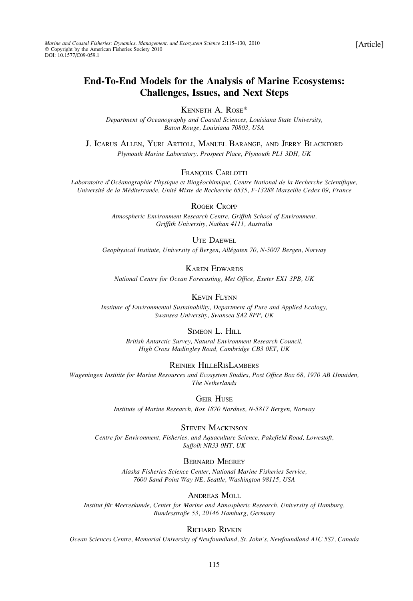# End-To-End Models for the Analysis of Marine Ecosystems: Challenges, Issues, and Next Steps

KENNETH A. ROSE\*

Department of Oceanography and Coastal Sciences, Louisiana State University, Baton Rouge, Louisiana 70803, USA

J. ICARUS ALLEN, YURI ARTIOLI, MANUEL BARANGE, AND JERRY BLACKFORD Plymouth Marine Laboratory, Prospect Place, Plymouth PL1 3DH, UK

### FRANÇOIS CARLOTTI

Laboratoire d'Océanographie Physique et Biogéochimique, Centre National de la Recherche Scientifique, Université de la Méditerranée, Unité Mixte de Recherche 6535, F-13288 Marseille Cedex 09, France

ROGER CROPP

Atmospheric Environment Research Centre, Griffith School of Environment, Griffith University, Nathan 4111, Australia

### UTE DAEWEL

Geophysical Institute, University of Bergen, Allégaten 70, N-5007 Bergen, Norway

KAREN EDWARDS

National Centre for Ocean Forecasting, Met Office, Exeter EX1 3PB, UK

## KEVIN FLYNN

Institute of Environmental Sustainability, Department of Pure and Applied Ecology, Swansea University, Swansea SA2 8PP, UK

#### SIMEON L. HILL

British Antarctic Survey, Natural Environment Research Council, High Cross Madingley Road, Cambridge CB3 0ET, UK

## REINIER HILLERISLAMBERS

Wageningen Institite for Marine Resources and Ecosystem Studies, Post Office Box 68, 1970 AB IJmuiden, The Netherlands

**GEIR HUSE** 

Institute of Marine Research, Box 1870 Nordnes, N-5817 Bergen, Norway

STEVEN MACKINSON Centre for Environment, Fisheries, and Aquaculture Science, Pakefield Road, Lowestoft, Suffolk NR33 0HT, UK

#### BERNARD MEGREY

Alaska Fisheries Science Center, National Marine Fisheries Service, 7600 Sand Point Way NE, Seattle, Washington 98115, USA

#### ANDREAS MOLL

Institut für Meereskunde, Center for Marine and Atmospheric Research, University of Hamburg, Bundesstraße 53, 20146 Hamburg, Germany

## RICHARD RIVKIN

Ocean Sciences Centre, Memorial University of Newfoundland, St. John's, Newfoundland A1C 5S7, Canada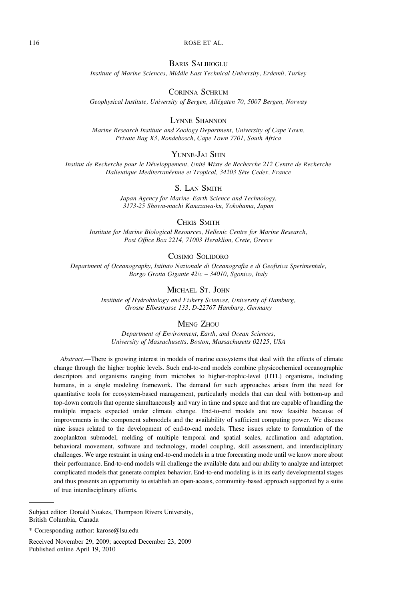116 ROSE ET AL.

## BARIS SALIHOGLU

Institute of Marine Sciences, Middle East Technical University, Erdemli, Turkey

CORINNA SCHRUM

Geophysical Institute, University of Bergen, Allégaten 70, 5007 Bergen, Norway

### LYNNE SHANNON

Marine Research Institute and Zoology Department, University of Cape Town, Private Bag X3, Rondebosch, Cape Town 7701, South Africa

### YUNNE-JAI SHIN

Institut de Recherche pour le Développement, Unité Mixte de Recherche 212 Centre de Recherche Halieutique Mediterranéenne et Tropical, 34203 Sète Cedex, France

### S. LAN SMITH

Japan Agency for Marine–Earth Science and Technology, 3173-25 Showa-machi Kanazawa-ku, Yokohama, Japan

#### CHRIS SMITH

Institute for Marine Biological Resources, Hellenic Centre for Marine Research, Post Office Box 2214, 71003 Heraklion, Crete, Greece

## COSIMO SOLIDORO

Department of Oceanography, Istituto Nazionale di Oceanografia e di Geofisica Sperimentale, Borgo Grotta Gigante 42/c – 34010, Sgonico, Italy

#### MICHAEL ST. JOHN

Institute of Hydrobiology and Fishery Sciences, University of Hamburg, Grosse Elbestrasse 133, D-22767 Hamburg, Germany

### MENG ZHOU

Department of Environment, Earth, and Ocean Sciences, University of Massachusetts, Boston, Massachusetts 02125, USA

Abstract.—There is growing interest in models of marine ecosystems that deal with the effects of climate change through the higher trophic levels. Such end-to-end models combine physicochemical oceanographic descriptors and organisms ranging from microbes to higher-trophic-level (HTL) organisms, including humans, in a single modeling framework. The demand for such approaches arises from the need for quantitative tools for ecosystem-based management, particularly models that can deal with bottom-up and top-down controls that operate simultaneously and vary in time and space and that are capable of handling the multiple impacts expected under climate change. End-to-end models are now feasible because of improvements in the component submodels and the availability of sufficient computing power. We discuss nine issues related to the development of end-to-end models. These issues relate to formulation of the zooplankton submodel, melding of multiple temporal and spatial scales, acclimation and adaptation, behavioral movement, software and technology, model coupling, skill assessment, and interdisciplinary challenges. We urge restraint in using end-to-end models in a true forecasting mode until we know more about their performance. End-to-end models will challenge the available data and our ability to analyze and interpret complicated models that generate complex behavior. End-to-end modeling is in its early developmental stages and thus presents an opportunity to establish an open-access, community-based approach supported by a suite of true interdisciplinary efforts.

Subject editor: Donald Noakes, Thompson Rivers University, British Columbia, Canada

<sup>\*</sup> Corresponding author: karose@lsu.edu

Received November 29, 2009; accepted December 23, 2009 Published online April 19, 2010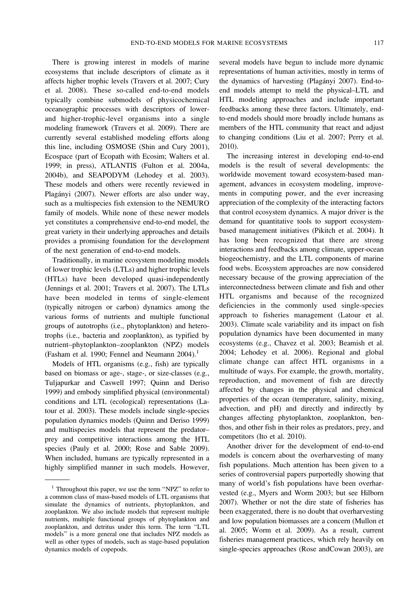There is growing interest in models of marine ecosystems that include descriptors of climate as it affects higher trophic levels (Travers et al. 2007; Cury et al. 2008). These so-called end-to-end models typically combine submodels of physicochemical oceanographic processes with descriptors of lowerand higher-trophic-level organisms into a single modeling framework (Travers et al. 2009). There are currently several established modeling efforts along this line, including OSMOSE (Shin and Cury 2001), Ecospace (part of Ecopath with Ecosim; Walters et al. 1999; in press), ATLANTIS (Fulton et al. 2004a, 2004b), and SEAPODYM (Lehodey et al. 2003). These models and others were recently reviewed in Plagányi (2007). Newer efforts are also under way, such as a multispecies fish extension to the NEMURO family of models. While none of these newer models yet constitutes a comprehensive end-to-end model, the great variety in their underlying approaches and details provides a promising foundation for the development of the next generation of end-to-end models.

Traditionally, in marine ecosystem modeling models of lower trophic levels (LTLs) and higher trophic levels (HTLs) have been developed quasi-independently (Jennings et al. 2001; Travers et al. 2007). The LTLs have been modeled in terms of single-element (typically nitrogen or carbon) dynamics among the various forms of nutrients and multiple functional groups of autotrophs (i.e., phytoplankton) and heterotrophs (i.e., bacteria and zooplankton), as typified by nutrient–phytoplankton–zooplankton (NPZ) models (Fasham et al. 1990; Fennel and Neumann  $2004$ ).<sup>1</sup>

Models of HTL organisms (e.g., fish) are typically based on biomass or age-, stage-, or size-classes (e.g., Tuljapurkar and Caswell 1997; Quinn and Deriso 1999) and embody simplified physical (environmental) conditions and LTL (ecological) representations (Latour et al. 2003). These models include single-species population dynamics models (Quinn and Deriso 1999) and multispecies models that represent the predator– prey and competitive interactions among the HTL species (Pauly et al. 2000; Rose and Sable 2009). When included, humans are typically represented in a highly simplified manner in such models. However, several models have begun to include more dynamic representations of human activities, mostly in terms of the dynamics of harvesting (Plagányi 2007). End-toend models attempt to meld the physical–LTL and HTL modeling approaches and include important feedbacks among these three factors. Ultimately, endto-end models should more broadly include humans as members of the HTL community that react and adjust to changing conditions (Liu et al. 2007; Perry et al. 2010).

The increasing interest in developing end-to-end models is the result of several developments: the worldwide movement toward ecosystem-based management, advances in ecosystem modeling, improvements in computing power, and the ever increasing appreciation of the complexity of the interacting factors that control ecosystem dynamics. A major driver is the demand for quantitative tools to support ecosystembased management initiatives (Pikitch et al. 2004). It has long been recognized that there are strong interactions and feedbacks among climate, upper-ocean biogeochemistry, and the LTL components of marine food webs. Ecosystem approaches are now considered necessary because of the growing appreciation of the interconnectedness between climate and fish and other HTL organisms and because of the recognized deficiencies in the commonly used single-species approach to fisheries management (Latour et al. 2003). Climate scale variability and its impact on fish population dynamics have been documented in many ecosystems (e.g., Chavez et al. 2003; Beamish et al. 2004; Lehodey et al. 2006). Regional and global climate change can affect HTL organisms in a multitude of ways. For example, the growth, mortality, reproduction, and movement of fish are directly affected by changes in the physical and chemical properties of the ocean (temperature, salinity, mixing, advection, and pH) and directly and indirectly by changes affecting phytoplankton, zooplankton, benthos, and other fish in their roles as predators, prey, and competitors (Ito et al. 2010).

Another driver for the development of end-to-end models is concern about the overharvesting of many fish populations. Much attention has been given to a series of controversial papers purportedly showing that many of world's fish populations have been overharvested (e.g., Myers and Worm 2003; but see Hilborn 2007). Whether or not the dire state of fisheries has been exaggerated, there is no doubt that overharvesting and low population biomasses are a concern (Mullon et al. 2005; Worm et al. 2009). As a result, current fisheries management practices, which rely heavily on single-species approaches (Rose andCowan 2003), are

<sup>&</sup>lt;sup>1</sup> Throughout this paper, we use the term "NPZ" to refer to a common class of mass-based models of LTL organisms that simulate the dynamics of nutrients, phytoplankton, and zooplankton. We also include models that represent multiple nutrients, multiple functional groups of phytoplankton and zooplankton, and detritus under this term. The term ''LTL models'' is a more general one that includes NPZ models as well as other types of models, such as stage-based population dynamics models of copepods.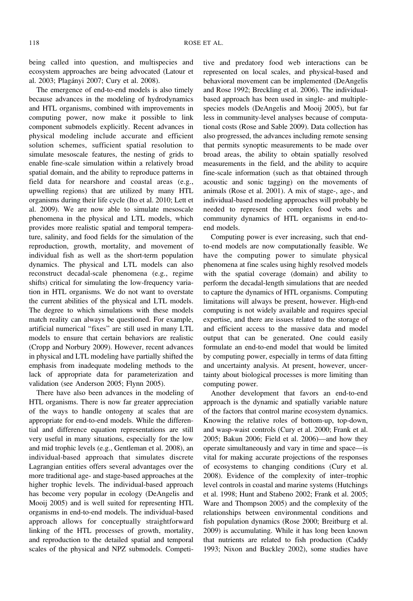being called into question, and multispecies and ecosystem approaches are being advocated (Latour et al. 2003; Plagányi 2007; Cury et al. 2008).

The emergence of end-to-end models is also timely because advances in the modeling of hydrodynamics and HTL organisms, combined with improvements in computing power, now make it possible to link component submodels explicitly. Recent advances in physical modeling include accurate and efficient solution schemes, sufficient spatial resolution to simulate mesoscale features, the nesting of grids to enable fine-scale simulation within a relatively broad spatial domain, and the ability to reproduce patterns in field data for nearshore and coastal areas (e.g., upwelling regions) that are utilized by many HTL organisms during their life cycle (Ito et al. 2010; Lett et al. 2009). We are now able to simulate mesoscale phenomena in the physical and LTL models, which provides more realistic spatial and temporal temperature, salinity, and food fields for the simulation of the reproduction, growth, mortality, and movement of individual fish as well as the short-term population dynamics. The physical and LTL models can also reconstruct decadal-scale phenomena (e.g., regime shifts) critical for simulating the low-frequency variation in HTL organisms. We do not want to overstate the current abilities of the physical and LTL models. The degree to which simulations with these models match reality can always be questioned. For example, artificial numerical "fixes" are still used in many LTL models to ensure that certain behaviors are realistic (Cropp and Norbury 2009). However, recent advances in physical and LTL modeling have partially shifted the emphasis from inadequate modeling methods to the lack of appropriate data for parameterization and validation (see Anderson 2005; Flynn 2005).

There have also been advances in the modeling of HTL organisms. There is now far greater appreciation of the ways to handle ontogeny at scales that are appropriate for end-to-end models. While the differential and difference equation representations are still very useful in many situations, especially for the low and mid trophic levels (e.g., Gentleman et al. 2008), an individual-based approach that simulates discrete Lagrangian entities offers several advantages over the more traditional age- and stage-based approaches at the higher trophic levels. The individual-based approach has become very popular in ecology (DeAngelis and Mooij 2005) and is well suited for representing HTL organisms in end-to-end models. The individual-based approach allows for conceptually straightforward linking of the HTL processes of growth, mortality, and reproduction to the detailed spatial and temporal scales of the physical and NPZ submodels. Competitive and predatory food web interactions can be represented on local scales, and physical-based and behavioral movement can be implemented (DeAngelis and Rose 1992; Breckling et al. 2006). The individualbased approach has been used in single- and multiplespecies models (DeAngelis and Mooij 2005), but far less in community-level analyses because of computational costs (Rose and Sable 2009). Data collection has also progressed, the advances including remote sensing that permits synoptic measurements to be made over broad areas, the ability to obtain spatially resolved measurements in the field, and the ability to acquire fine-scale information (such as that obtained through acoustic and sonic tagging) on the movements of animals (Rose et al. 2001). A mix of stage-, age-, and individual-based modeling approaches will probably be needed to represent the complex food webs and community dynamics of HTL organisms in end-toend models.

Computing power is ever increasing, such that endto-end models are now computationally feasible. We have the computing power to simulate physical phenomena at fine scales using highly resolved models with the spatial coverage (domain) and ability to perform the decadal-length simulations that are needed to capture the dynamics of HTL organisms. Computing limitations will always be present, however. High-end computing is not widely available and requires special expertise, and there are issues related to the storage of and efficient access to the massive data and model output that can be generated. One could easily formulate an end-to-end model that would be limited by computing power, especially in terms of data fitting and uncertainty analysis. At present, however, uncertainty about biological processes is more limiting than computing power.

Another development that favors an end-to-end approach is the dynamic and spatially variable nature of the factors that control marine ecosystem dynamics. Knowing the relative roles of bottom-up, top-down, and wasp-waist controls (Cury et al. 2000; Frank et al. 2005; Bakun 2006; Field et al. 2006)—and how they operate simultaneously and vary in time and space—is vital for making accurate projections of the responses of ecosystems to changing conditions (Cury et al. 2008). Evidence of the complexity of inter–trophic level controls in coastal and marine systems (Hutchings et al. 1998; Hunt and Stabeno 2002; Frank et al. 2005; Ware and Thompson 2005) and the complexity of the relationships between environmental conditions and fish population dynamics (Rose 2000; Breitburg et al. 2009) is accumulating. While it has long been known that nutrients are related to fish production (Caddy 1993; Nixon and Buckley 2002), some studies have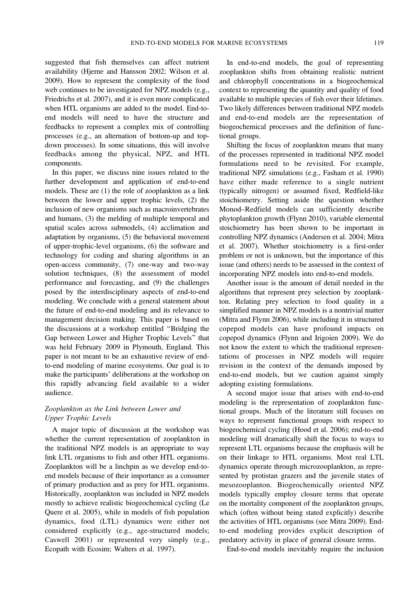suggested that fish themselves can affect nutrient availability (Hjerne and Hansson 2002; Wilson et al. 2009). How to represent the complexity of the food web continues to be investigated for NPZ models (e.g., Friedrichs et al. 2007), and it is even more complicated when HTL organisms are added to the model. End-toend models will need to have the structure and feedbacks to represent a complex mix of controlling processes (e.g., an alternation of bottom-up and topdown processes). In some situations, this will involve feedbacks among the physical, NPZ, and HTL components.

In this paper, we discuss nine issues related to the further development and application of end-to-end models. These are (1) the role of zooplankton as a link between the lower and upper trophic levels, (2) the inclusion of new organisms such as macroinvertebrates and humans, (3) the melding of multiple temporal and spatial scales across submodels, (4) acclimation and adaptation by organisms, (5) the behavioral movement of upper-trophic-level organisms, (6) the software and technology for coding and sharing algorithms in an open-access community, (7) one-way and two-way solution techniques, (8) the assessment of model performance and forecasting, and (9) the challenges posed by the interdisciplinary aspects of end-to-end modeling. We conclude with a general statement about the future of end-to-end modeling and its relevance to management decision making. This paper is based on the discussions at a workshop entitled ''Bridging the Gap between Lower and Higher Trophic Levels'' that was held February 2009 in Plymouth, England. This paper is not meant to be an exhaustive review of endto-end modeling of marine ecosystems. Our goal is to make the participants' deliberations at the workshop on this rapidly advancing field available to a wider audience.

## Zooplankton as the Link between Lower and Upper Trophic Levels

A major topic of discussion at the workshop was whether the current representation of zooplankton in the traditional NPZ models is an appropriate to way link LTL organisms to fish and other HTL organisms. Zooplankton will be a linchpin as we develop end-toend models because of their importance as a consumer of primary production and as prey for HTL organisms. Historically, zooplankton was included in NPZ models mostly to achieve realistic biogeochemical cycling (Le Quere et al. 2005), while in models of fish population dynamics, food (LTL) dynamics were either not considered explicitly (e.g., age-structured models; Caswell 2001) or represented very simply (e.g., Ecopath with Ecosim; Walters et al. 1997).

In end-to-end models, the goal of representing zooplankton shifts from obtaining realistic nutrient and chlorophyll concentrations in a biogeochemical context to representing the quantity and quality of food available to multiple species of fish over their lifetimes. Two likely differences between traditional NPZ models and end-to-end models are the representation of biogeochemical processes and the definition of functional groups.

Shifting the focus of zooplankton means that many of the processes represented in traditional NPZ model formulations need to be revisited. For example, traditional NPZ simulations (e.g., Fasham et al. 1990) have either made reference to a single nutrient (typically nitrogen) or assumed fixed, Redfield-like stoichiometry. Setting aside the question whether Monod–Redfield models can sufficiently describe phytoplankton growth (Flynn 2010), variable elemental stoichiometry has been shown to be important in controlling NPZ dynamics (Andersen et al. 2004; Mitra et al. 2007). Whether stoichiometry is a first-order problem or not is unknown, but the importance of this issue (and others) needs to be assessed in the context of incorporating NPZ models into end-to-end models.

Another issue is the amount of detail needed in the algorithms that represent prey selection by zooplankton. Relating prey selection to food quality in a simplified manner in NPZ models is a nontrivial matter (Mitra and Flynn 2006), while including it in structured copepod models can have profound impacts on copepod dynamics (Flynn and Irigoien 2009). We do not know the extent to which the traditional representations of processes in NPZ models will require revision in the context of the demands imposed by end-to-end models, but we caution against simply adopting existing formulations.

A second major issue that arises with end-to-end modeling is the representation of zooplankton functional groups. Much of the literature still focuses on ways to represent functional groups with respect to biogeochemical cycling (Hood et al. 2006); end-to-end modeling will dramatically shift the focus to ways to represent LTL organisms because the emphasis will be on their linkage to HTL organisms. Most real LTL dynamics operate through microzooplankton, as represented by protistan grazers and the juvenile states of mesozooplanton. Biogeochemically oriented NPZ models typically employ closure terms that operate on the mortality component of the zooplankton groups, which (often without being stated explicitly) describe the activities of HTL organisms (see Mitra 2009). Endto-end modeling provides explicit description of predatory activity in place of general closure terms.

End-to-end models inevitably require the inclusion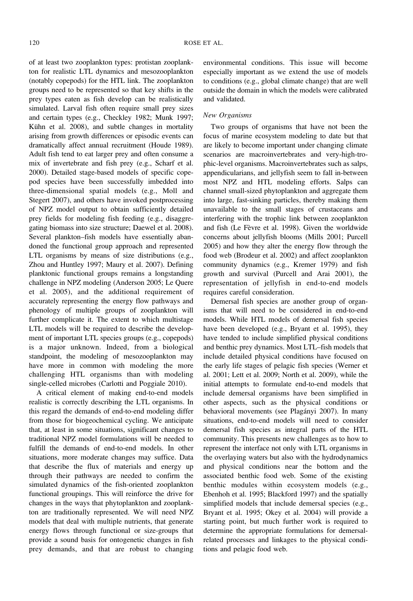of at least two zooplankton types: protistan zooplankton for realistic LTL dynamics and mesozooplankton (notably copepods) for the HTL link. The zooplankton groups need to be represented so that key shifts in the prey types eaten as fish develop can be realistically simulated. Larval fish often require small prey sizes and certain types (e.g., Checkley 1982; Munk 1997; Kühn et al. 2008), and subtle changes in mortality arising from growth differences or episodic events can dramatically affect annual recruitment (Houde 1989). Adult fish tend to eat larger prey and often consume a mix of invertebrate and fish prey (e.g., Scharf et al. 2000). Detailed stage-based models of specific copepod species have been successfully imbedded into three-dimensional spatial models (e.g., Moll and Stegert 2007), and others have invoked postprocessing of NPZ model output to obtain sufficiently detailed prey fields for modeling fish feeding (e.g., disaggregating biomass into size structure; Daewel et al. 2008). Several plankton–fish models have essentially abandoned the functional group approach and represented LTL organisms by means of size distributions (e.g., Zhou and Huntley 1997; Maury et al. 2007). Defining planktonic functional groups remains a longstanding challenge in NPZ modeling (Anderson 2005; Le Quere et al. 2005), and the additional requirement of accurately representing the energy flow pathways and phenology of multiple groups of zooplankton will further complicate it. The extent to which multistage LTL models will be required to describe the development of important LTL species groups (e.g., copepods) is a major unknown. Indeed, from a biological standpoint, the modeling of mesozooplankton may have more in common with modeling the more challenging HTL organisms than with modeling single-celled microbes (Carlotti and Poggiale 2010).

A critical element of making end-to-end models realistic is correctly describing the LTL organisms. In this regard the demands of end-to-end modeling differ from those for biogeochemical cycling. We anticipate that, at least in some situations, significant changes to traditional NPZ model formulations will be needed to fulfill the demands of end-to-end models. In other situations, more moderate changes may suffice. Data that describe the flux of materials and energy up through their pathways are needed to confirm the simulated dynamics of the fish-oriented zooplankton functional groupings. This will reinforce the drive for changes in the ways that phytoplankton and zooplankton are traditionally represented. We will need NPZ models that deal with multiple nutrients, that generate energy flows through functional or size-groups that provide a sound basis for ontogenetic changes in fish prey demands, and that are robust to changing environmental conditions. This issue will become especially important as we extend the use of models to conditions (e.g., global climate change) that are well outside the domain in which the models were calibrated and validated.

#### New Organisms

Two groups of organisms that have not been the focus of marine ecosystem modeling to date but that are likely to become important under changing climate scenarios are macroinvertebrates and very-high-trophic-level organisms. Macroinvertebrates such as salps, appendicularians, and jellyfish seem to fall in-between most NPZ and HTL modeling efforts. Salps can channel small-sized phytoplankton and aggregate them into large, fast-sinking particles, thereby making them unavailable to the small stages of crustaceans and interfering with the trophic link between zooplankton and fish (Le Fèvre et al. 1998). Given the worldwide concerns about jellyfish blooms (Mills 2001; Purcell 2005) and how they alter the energy flow through the food web (Brodeur et al. 2002) and affect zooplankton community dynamics (e.g., Kremer 1979) and fish growth and survival (Purcell and Arai 2001), the representation of jellyfish in end-to-end models requires careful consideration.

Demersal fish species are another group of organisms that will need to be considered in end-to-end models. While HTL models of demersal fish species have been developed (e.g., Bryant et al. 1995), they have tended to include simplified physical conditions and benthic prey dynamics. Most LTL–fish models that include detailed physical conditions have focused on the early life stages of pelagic fish species (Werner et al. 2001; Lett et al. 2009; North et al. 2009), while the initial attempts to formulate end-to-end models that include demersal organisms have been simplified in other aspects, such as the physical conditions or behavioral movements (see Plagányi 2007). In many situations, end-to-end models will need to consider demersal fish species as integral parts of the HTL community. This presents new challenges as to how to represent the interface not only with LTL organisms in the overlaying waters but also with the hydrodynamics and physical conditions near the bottom and the associated benthic food web. Some of the existing benthic modules within ecosystem models (e.g., Ebenhoh et al. 1995; Blackford 1997) and the spatially simplified models that include demersal species (e.g., Bryant et al. 1995; Okey et al. 2004) will provide a starting point, but much further work is required to determine the appropriate formulations for demersalrelated processes and linkages to the physical conditions and pelagic food web.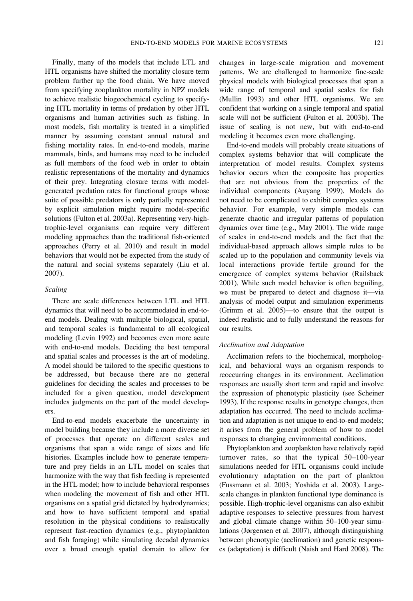Finally, many of the models that include LTL and HTL organisms have shifted the mortality closure term problem further up the food chain. We have moved from specifying zooplankton mortality in NPZ models to achieve realistic biogeochemical cycling to specifying HTL mortality in terms of predation by other HTL organisms and human activities such as fishing. In most models, fish mortality is treated in a simplified manner by assuming constant annual natural and fishing mortality rates. In end-to-end models, marine mammals, birds, and humans may need to be included as full members of the food web in order to obtain realistic representations of the mortality and dynamics of their prey. Integrating closure terms with modelgenerated predation rates for functional groups whose suite of possible predators is only partially represented by explicit simulation might require model-specific solutions (Fulton et al. 2003a). Representing very-hightrophic-level organisms can require very different modeling approaches than the traditional fish-oriented approaches (Perry et al. 2010) and result in model behaviors that would not be expected from the study of the natural and social systems separately (Liu et al. 2007).

#### Scaling

There are scale differences between LTL and HTL dynamics that will need to be accommodated in end-toend models. Dealing with multiple biological, spatial, and temporal scales is fundamental to all ecological modeling (Levin 1992) and becomes even more acute with end-to-end models. Deciding the best temporal and spatial scales and processes is the art of modeling. A model should be tailored to the specific questions to be addressed, but because there are no general guidelines for deciding the scales and processes to be included for a given question, model development includes judgments on the part of the model developers.

End-to-end models exacerbate the uncertainty in model building because they include a more diverse set of processes that operate on different scales and organisms that span a wide range of sizes and life histories. Examples include how to generate temperature and prey fields in an LTL model on scales that harmonize with the way that fish feeding is represented in the HTL model; how to include behavioral responses when modeling the movement of fish and other HTL organisms on a spatial grid dictated by hydrodynamics; and how to have sufficient temporal and spatial resolution in the physical conditions to realistically represent fast-reaction dynamics (e.g., phytoplankton and fish foraging) while simulating decadal dynamics over a broad enough spatial domain to allow for changes in large-scale migration and movement patterns. We are challenged to harmonize fine-scale physical models with biological processes that span a wide range of temporal and spatial scales for fish (Mullin 1993) and other HTL organisms. We are confident that working on a single temporal and spatial scale will not be sufficient (Fulton et al. 2003b). The issue of scaling is not new, but with end-to-end modeling it becomes even more challenging.

End-to-end models will probably create situations of complex systems behavior that will complicate the interpretation of model results. Complex systems behavior occurs when the composite has properties that are not obvious from the properties of the individual components (Auyang 1999). Models do not need to be complicated to exhibit complex systems behavior. For example, very simple models can generate chaotic and irregular patterns of population dynamics over time (e.g., May 2001). The wide range of scales in end-to-end models and the fact that the individual-based approach allows simple rules to be scaled up to the population and community levels via local interactions provide fertile ground for the emergence of complex systems behavior (Railsback 2001). While such model behavior is often beguiling, we must be prepared to detect and diagnose it—via analysis of model output and simulation experiments (Grimm et al. 2005)—to ensure that the output is indeed realistic and to fully understand the reasons for our results.

### Acclimation and Adaptation

Acclimation refers to the biochemical, morphological, and behavioral ways an organism responds to reoccurring changes in its environment. Acclimation responses are usually short term and rapid and involve the expression of phenotypic plasticity (see Scheiner 1993). If the response results in genotype changes, then adaptation has occurred. The need to include acclimation and adaptation is not unique to end-to-end models; it arises from the general problem of how to model responses to changing environmental conditions.

Phytoplankton and zooplankton have relatively rapid turnover rates, so that the typical 50–100-year simulations needed for HTL organisms could include evolutionary adaptation on the part of plankton (Fussmann et al. 2003; Yoshida et al. 2003). Largescale changes in plankton functional type dominance is possible. High-trophic-level organisms can also exhibit adaptive responses to selective pressures from harvest and global climate change within 50–100-year simulations (Jørgensen et al. 2007), although distinguishing between phenotypic (acclimation) and genetic responses (adaptation) is difficult (Naish and Hard 2008). The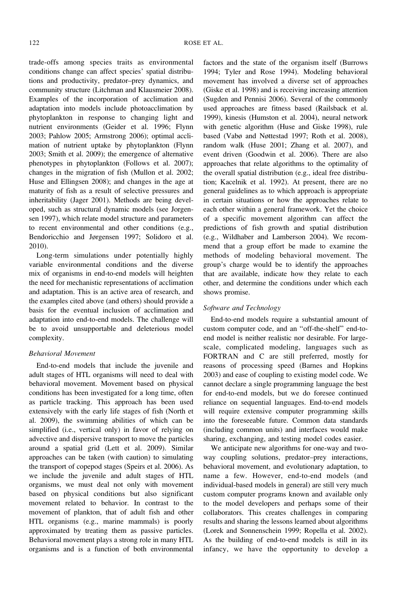trade-offs among species traits as environmental conditions change can affect species' spatial distributions and productivity, predator–prey dynamics, and community structure (Litchman and Klausmeier 2008). Examples of the incorporation of acclimation and adaptation into models include photoacclimation by phytoplankton in response to changing light and nutrient environments (Geider et al. 1996; Flynn 2003; Pahlow 2005; Armstrong 2006); optimal acclimation of nutrient uptake by phytoplankton (Flynn 2003; Smith et al. 2009); the emergence of alternative phenotypes in phytoplankton (Follows et al. 2007); changes in the migration of fish (Mullon et al. 2002; Huse and Ellingsen 2008); and changes in the age at maturity of fish as a result of selective pressures and inheritability (Jager 2001). Methods are being developed, such as structural dynamic models (see Jorgensen 1997), which relate model structure and parameters to recent environmental and other conditions (e.g., Bendoricchio and Jørgensen 1997; Solidoro et al. 2010).

Long-term simulations under potentially highly variable environmental conditions and the diverse mix of organisms in end-to-end models will heighten the need for mechanistic representations of acclimation and adaptation. This is an active area of research, and the examples cited above (and others) should provide a basis for the eventual inclusion of acclimation and adaptation into end-to-end models. The challenge will be to avoid unsupportable and deleterious model complexity.

#### Behavioral Movement

End-to-end models that include the juvenile and adult stages of HTL organisms will need to deal with behavioral movement. Movement based on physical conditions has been investigated for a long time, often as particle tracking. This approach has been used extensively with the early life stages of fish (North et al. 2009), the swimming abilities of which can be simplified (i.e., vertical only) in favor of relying on advective and dispersive transport to move the particles around a spatial grid (Lett et al. 2009). Similar approaches can be taken (with caution) to simulating the transport of copepod stages (Speirs et al. 2006). As we include the juvenile and adult stages of HTL organisms, we must deal not only with movement based on physical conditions but also significant movement related to behavior. In contrast to the movement of plankton, that of adult fish and other HTL organisms (e.g., marine mammals) is poorly approximated by treating them as passive particles. Behavioral movement plays a strong role in many HTL organisms and is a function of both environmental

factors and the state of the organism itself (Burrows 1994; Tyler and Rose 1994). Modeling behavioral movement has involved a diverse set of approaches (Giske et al. 1998) and is receiving increasing attention (Sugden and Pennisi 2006). Several of the commonly used approaches are fitness based (Railsback et al. 1999), kinesis (Humston et al. 2004), neural network with genetic algorithm (Huse and Giske 1998), rule based (Vabø and Nøttestad 1997; Roth et al. 2008), random walk (Huse 2001; Zhang et al. 2007), and event driven (Goodwin et al. 2006). There are also approaches that relate algorithms to the optimality of the overall spatial distribution (e.g., ideal free distribution; Kacelnik et al. 1992). At present, there are no general guidelines as to which approach is appropriate in certain situations or how the approaches relate to each other within a general framework. Yet the choice of a specific movement algorithm can affect the predictions of fish growth and spatial distribution (e.g., Wildhaber and Lamberson 2004). We recommend that a group effort be made to examine the methods of modeling behavioral movement. The group's charge would be to identify the approaches that are available, indicate how they relate to each other, and determine the conditions under which each shows promise.

#### Software and Technology

End-to-end models require a substantial amount of custom computer code, and an ''off-the-shelf'' end-toend model is neither realistic nor desirable. For largescale, complicated modeling, languages such as FORTRAN and C are still preferred, mostly for reasons of processing speed (Barnes and Hopkins 2003) and ease of coupling to existing model code. We cannot declare a single programming language the best for end-to-end models, but we do foresee continued reliance on sequential languages. End-to-end models will require extensive computer programming skills into the foreseeable future. Common data standards (including common units) and interfaces would make sharing, exchanging, and testing model codes easier.

We anticipate new algorithms for one-way and twoway coupling solutions, predator–prey interactions, behavioral movement, and evolutionary adaptation, to name a few. However, end-to-end models (and individual-based models in general) are still very much custom computer programs known and available only to the model developers and perhaps some of their collaborators. This creates challenges in comparing results and sharing the lessons learned about algorithms (Lorek and Sonnenschein 1999; Ropella et al. 2002). As the building of end-to-end models is still in its infancy, we have the opportunity to develop a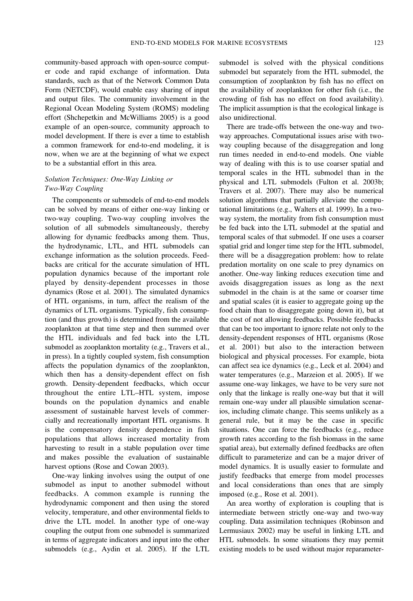community-based approach with open-source computer code and rapid exchange of information. Data standards, such as that of the Network Common Data Form (NETCDF), would enable easy sharing of input and output files. The community involvement in the Regional Ocean Modeling System (ROMS) modeling effort (Shchepetkin and McWilliams 2005) is a good example of an open-source, community approach to model development. If there is ever a time to establish a common framework for end-to-end modeling, it is now, when we are at the beginning of what we expect to be a substantial effort in this area.

### Solution Techniques: One-Way Linking or Two-Way Coupling

The components or submodels of end-to-end models can be solved by means of either one-way linking or two-way coupling. Two-way coupling involves the solution of all submodels simultaneously, thereby allowing for dynamic feedbacks among them. Thus, the hydrodynamic, LTL, and HTL submodels can exchange information as the solution proceeds. Feedbacks are critical for the accurate simulation of HTL population dynamics because of the important role played by density-dependent processes in those dynamics (Rose et al. 2001). The simulated dynamics of HTL organisms, in turn, affect the realism of the dynamics of LTL organisms. Typically, fish consumption (and thus growth) is determined from the available zooplankton at that time step and then summed over the HTL individuals and fed back into the LTL submodel as zooplankton mortality (e.g., Travers et al., in press). In a tightly coupled system, fish consumption affects the population dynamics of the zooplankton, which then has a density-dependent effect on fish growth. Density-dependent feedbacks, which occur throughout the entire LTL–HTL system, impose bounds on the population dynamics and enable assessment of sustainable harvest levels of commercially and recreationally important HTL organisms. It is the compensatory density dependence in fish populations that allows increased mortality from harvesting to result in a stable population over time and makes possible the evaluation of sustainable harvest options (Rose and Cowan 2003).

One-way linking involves using the output of one submodel as input to another submodel without feedbacks. A common example is running the hydrodynamic component and then using the stored velocity, temperature, and other environmental fields to drive the LTL model. In another type of one-way coupling the output from one submodel is summarized in terms of aggregate indicators and input into the other submodels (e.g., Aydin et al. 2005). If the LTL submodel is solved with the physical conditions submodel but separately from the HTL submodel, the consumption of zooplankton by fish has no effect on the availability of zooplankton for other fish (i.e., the crowding of fish has no effect on food availability). The implicit assumption is that the ecological linkage is also unidirectional.

There are trade-offs between the one-way and twoway approaches. Computational issues arise with twoway coupling because of the disaggregation and long run times needed in end-to-end models. One viable way of dealing with this is to use coarser spatial and temporal scales in the HTL submodel than in the physical and LTL submodels (Fulton et al. 2003b; Travers et al. 2007). There may also be numerical solution algorithms that partially alleviate the computational limitations (e.g., Walters et al. 1999). In a twoway system, the mortality from fish consumption must be fed back into the LTL submodel at the spatial and temporal scales of that submodel. If one uses a coarser spatial grid and longer time step for the HTL submodel, there will be a disaggregation problem: how to relate predation mortality on one scale to prey dynamics on another. One-way linking reduces execution time and avoids disaggregation issues as long as the next submodel in the chain is at the same or coarser time and spatial scales (it is easier to aggregate going up the food chain than to disaggregate going down it), but at the cost of not allowing feedbacks. Possible feedbacks that can be too important to ignore relate not only to the density-dependent responses of HTL organisms (Rose et al. 2001) but also to the interaction between biological and physical processes. For example, biota can affect sea ice dynamics (e.g., Leck et al. 2004) and water temperatures (e.g., Marzeion et al. 2005). If we assume one-way linkages, we have to be very sure not only that the linkage is really one-way but that it will remain one-way under all plausible simulation scenarios, including climate change. This seems unlikely as a general rule, but it may be the case in specific situations. One can force the feedbacks (e.g., reduce growth rates according to the fish biomass in the same spatial area), but externally defined feedbacks are often difficult to parameterize and can be a major driver of model dynamics. It is usually easier to formulate and justify feedbacks that emerge from model processes and local considerations than ones that are simply imposed (e.g., Rose et al. 2001).

An area worthy of exploration is coupling that is intermediate between strictly one-way and two-way coupling. Data assimilation techniques (Robinson and Lermusiaux 2002) may be useful in linking LTL and HTL submodels. In some situations they may permit existing models to be used without major reparameter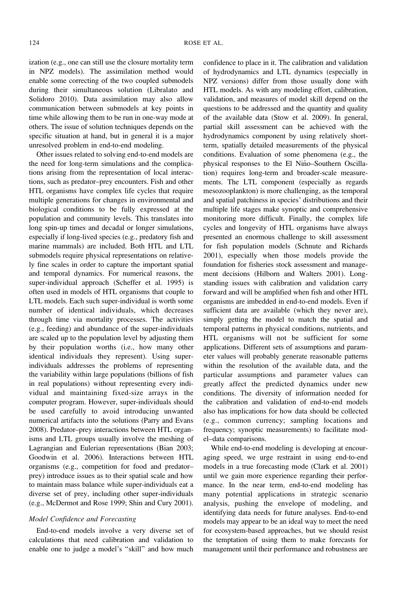ization (e.g., one can still use the closure mortality term in NPZ models). The assimilation method would enable some correcting of the two coupled submodels during their simultaneous solution (Libralato and Solidoro 2010). Data assimilation may also allow communication between submodels at key points in time while allowing them to be run in one-way mode at others. The issue of solution techniques depends on the specific situation at hand, but in general it is a major unresolved problem in end-to-end modeling.

Other issues related to solving end-to-end models are the need for long-term simulations and the complications arising from the representation of local interactions, such as predator–prey encounters. Fish and other HTL organisms have complex life cycles that require multiple generations for changes in environmental and biological conditions to be fully expressed at the population and community levels. This translates into long spin-up times and decadal or longer simulations, especially if long-lived species (e.g., predatory fish and marine mammals) are included. Both HTL and LTL submodels require physical representations on relatively fine scales in order to capture the important spatial and temporal dynamics. For numerical reasons, the super-individual approach (Scheffer et al. 1995) is often used in models of HTL organisms that couple to LTL models. Each such super-individual is worth some number of identical individuals, which decreases through time via mortality processes. The activities (e.g., feeding) and abundance of the super-individuals are scaled up to the population level by adjusting them by their population worths (i.e., how many other identical individuals they represent). Using superindividuals addresses the problems of representing the variability within large populations (billions of fish in real populations) without representing every individual and maintaining fixed-size arrays in the computer program. However, super-individuals should be used carefully to avoid introducing unwanted numerical artifacts into the solutions (Parry and Evans 2008). Predator–prey interactions between HTL organisms and LTL groups usually involve the meshing of Lagrangian and Eulerian representations (Bian 2003; Goodwin et al. 2006). Interactions between HTL organisms (e.g., competition for food and predator– prey) introduce issues as to their spatial scale and how to maintain mass balance while super-individuals eat a diverse set of prey, including other super-individuals (e.g., McDermot and Rose 1999; Shin and Cury 2001).

#### Model Confidence and Forecasting

End-to-end models involve a very diverse set of calculations that need calibration and validation to enable one to judge a model's ''skill'' and how much confidence to place in it. The calibration and validation of hydrodynamics and LTL dynamics (especially in NPZ versions) differ from those usually done with HTL models. As with any modeling effort, calibration, validation, and measures of model skill depend on the questions to be addressed and the quantity and quality of the available data (Stow et al. 2009). In general, partial skill assessment can be achieved with the hydrodynamics component by using relatively shortterm, spatially detailed measurements of the physical conditions. Evaluation of some phenomena (e.g., the physical responses to the El Niño–Southern Oscillation) requires long-term and broader-scale measurements. The LTL component (especially as regards mesozooplankton) is more challenging, as the temporal and spatial patchiness in species' distributions and their multiple life stages make synoptic and comprehensive monitoring more difficult. Finally, the complex life cycles and longevity of HTL organisms have always presented an enormous challenge to skill assessment for fish population models (Schnute and Richards 2001), especially when those models provide the foundation for fisheries stock assessment and management decisions (Hilborn and Walters 2001). Longstanding issues with calibration and validation carry forward and will be amplified when fish and other HTL organisms are imbedded in end-to-end models. Even if sufficient data are available (which they never are), simply getting the model to match the spatial and temporal patterns in physical conditions, nutrients, and HTL organisms will not be sufficient for some applications. Different sets of assumptions and parameter values will probably generate reasonable patterns within the resolution of the available data, and the particular assumptions and parameter values can greatly affect the predicted dynamics under new conditions. The diversity of information needed for the calibration and validation of end-to-end models also has implications for how data should be collected (e.g., common currency; sampling locations and frequency; synoptic measurements) to facilitate model–data comparisons.

While end-to-end modeling is developing at encouraging speed, we urge restraint in using end-to-end models in a true forecasting mode (Clark et al. 2001) until we gain more experience regarding their performance. In the near term, end-to-end modeling has many potential applications in strategic scenario analysis, pushing the envelope of modeling, and identifying data needs for future analyses. End-to-end models may appear to be an ideal way to meet the need for ecosystem-based approaches, but we should resist the temptation of using them to make forecasts for management until their performance and robustness are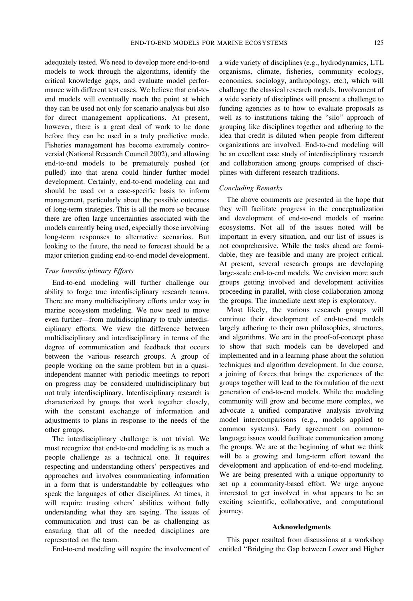adequately tested. We need to develop more end-to-end models to work through the algorithms, identify the critical knowledge gaps, and evaluate model performance with different test cases. We believe that end-toend models will eventually reach the point at which they can be used not only for scenario analysis but also for direct management applications. At present, however, there is a great deal of work to be done before they can be used in a truly predictive mode. Fisheries management has become extremely controversial (National Research Council 2002), and allowing end-to-end models to be prematurely pushed (or pulled) into that arena could hinder further model development. Certainly, end-to-end modeling can and should be used on a case-specific basis to inform management, particularly about the possible outcomes of long-term strategies. This is all the more so because there are often large uncertainties associated with the models currently being used, especially those involving long-term responses to alternative scenarios. But looking to the future, the need to forecast should be a major criterion guiding end-to-end model development.

#### True Interdisciplinary Efforts

End-to-end modeling will further challenge our ability to forge true interdisciplinary research teams. There are many multidisciplinary efforts under way in marine ecosystem modeling. We now need to move even further—from multidisciplinary to truly interdisciplinary efforts. We view the difference between multidisciplinary and interdisciplinary in terms of the degree of communication and feedback that occurs between the various research groups. A group of people working on the same problem but in a quasiindependent manner with periodic meetings to report on progress may be considered multidisciplinary but not truly interdisciplinary. Interdisciplinary research is characterized by groups that work together closely, with the constant exchange of information and adjustments to plans in response to the needs of the other groups.

The interdisciplinary challenge is not trivial. We must recognize that end-to-end modeling is as much a people challenge as a technical one. It requires respecting and understanding others' perspectives and approaches and involves communicating information in a form that is understandable by colleagues who speak the languages of other disciplines. At times, it will require trusting others' abilities without fully understanding what they are saying. The issues of communication and trust can be as challenging as ensuring that all of the needed disciplines are represented on the team.

End-to-end modeling will require the involvement of

a wide variety of disciplines (e.g., hydrodynamics, LTL organisms, climate, fisheries, community ecology, economics, sociology, anthropology, etc.), which will challenge the classical research models. Involvement of a wide variety of disciplines will present a challenge to funding agencies as to how to evaluate proposals as well as to institutions taking the "silo" approach of grouping like disciplines together and adhering to the idea that credit is diluted when people from different organizations are involved. End-to-end modeling will be an excellent case study of interdisciplinary research and collaboration among groups comprised of disciplines with different research traditions.

#### Concluding Remarks

The above comments are presented in the hope that they will facilitate progress in the conceptualization and development of end-to-end models of marine ecosystems. Not all of the issues noted will be important in every situation, and our list of issues is not comprehensive. While the tasks ahead are formidable, they are feasible and many are project critical. At present, several research groups are developing large-scale end-to-end models. We envision more such groups getting involved and development activities proceeding in parallel, with close collaboration among the groups. The immediate next step is exploratory.

Most likely, the various research groups will continue their development of end-to-end models largely adhering to their own philosophies, structures, and algorithms. We are in the proof-of-concept phase to show that such models can be developed and implemented and in a learning phase about the solution techniques and algorithm development. In due course, a joining of forces that brings the experiences of the groups together will lead to the formulation of the next generation of end-to-end models. While the modeling community will grow and become more complex, we advocate a unified comparative analysis involving model intercomparisons (e.g., models applied to common systems). Early agreement on commonlanguage issues would facilitate communication among the groups. We are at the beginning of what we think will be a growing and long-term effort toward the development and application of end-to-end modeling. We are being presented with a unique opportunity to set up a community-based effort. We urge anyone interested to get involved in what appears to be an exciting scientific, collaborative, and computational journey.

#### Acknowledgments

This paper resulted from discussions at a workshop entitled ''Bridging the Gap between Lower and Higher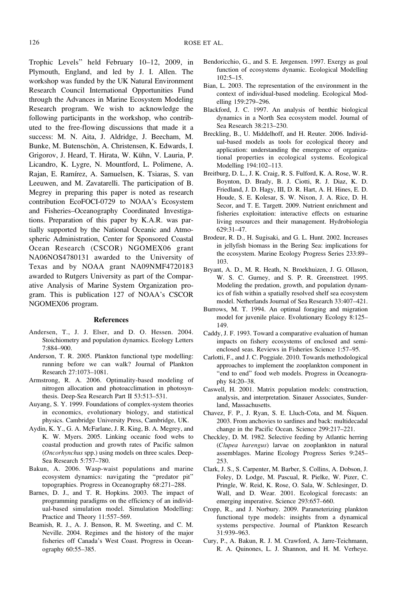Trophic Levels'' held February 10–12, 2009, in Plymouth, England, and led by J. I. Allen. The workshop was funded by the UK Natural Environment Research Council International Opportunities Fund through the Advances in Marine Ecosystem Modeling Research program. We wish to acknowledge the following participants in the workshop, who contributed to the free-flowing discussions that made it a success: M. N. Aita, J. Aldridge, J. Beecham, M. Bunke, M. Butenschön, A. Christensen, K. Edwards, I. Grigorov, J. Heard, T. Hirata, W. Kühn, V. Lauria, P. Licandro, K. Lygre, N. Mountford, L. Polimene, A. Rajan, E. Ramírez, A. Samuelsen, K. Tsiaras, S. van Leeuwen, and M. Zavatarelli. The participation of B. Megrey in preparing this paper is noted as research contribution EcoFOCI-0729 to NOAA's Ecosystem and Fisheries–Oceanography Coordinated Investigations. Preparation of this paper by K.A.R. was partially supported by the National Oceanic and Atmospheric Administration, Center for Sponsored Coastal Ocean Research (CSCOR) NGOMEX06 grant NA06NOS4780131 awarded to the University of Texas and by NOAA grant NA09NMF4720183 awarded to Rutgers University as part of the Comparative Analysis of Marine System Organization program. This is publication 127 of NOAA's CSCOR NGOMEX06 program.

#### References

- Andersen, T., J. J. Elser, and D. O. Hessen. 2004. Stoichiometry and population dynamics. Ecology Letters 7:884–900.
- Anderson, T. R. 2005. Plankton functional type modelling: running before we can walk? Journal of Plankton Research 27:1073–1081.
- Armstrong, R. A. 2006. Optimality-based modeling of nitrogen allocation and photoacclimation in photosynthesis. Deep-Sea Research Part II 53:513–531.
- Auyang, S. Y. 1999. Foundations of complex-system theories in economics, evolutionary biology, and statistical physics. Cambridge University Press, Cambridge, UK.
- Aydin, K. Y., G. A. McFarlane, J. R. King, B. A. Megrey, and K. W. Myers. 2005. Linking oceanic food webs to coastal production and growth rates of Pacific salmon (Oncorhynchus spp.) using models on three scales. Deep-Sea Research 5:757–780.
- Bakun, A. 2006. Wasp-waist populations and marine ecosystem dynamics: navigating the ''predator pit'' topographies. Progress in Oceanography 68:271–288.
- Barnes, D. J., and T. R. Hopkins. 2003. The impact of programming paradigms on the efficiency of an individual-based simulation model. Simulation Modelling: Practice and Theory 11:557–569.
- Beamish, R. J., A. J. Benson, R. M. Sweeting, and C. M. Neville. 2004. Regimes and the history of the major fisheries off Canada's West Coast. Progress in Oceanography 60:55–385.
- Bendoricchio, G., and S. E. Jørgensen. 1997. Exergy as goal function of ecosystems dynamic. Ecological Modelling 102:5–15.
- Bian, L. 2003. The representation of the environment in the context of individual-based modeling. Ecological Modelling 159:279–296.
- Blackford, J. C. 1997. An analysis of benthic biological dynamics in a North Sea ecosystem model. Journal of Sea Research 38:213–230.
- Breckling, B., U. Middelhoff, and H. Reuter. 2006. Individual-based models as tools for ecological theory and application: understanding the emergence of organizational properties in ecological systems. Ecological Modelling 194:102–113.
- Breitburg, D. L., J. K. Craig, R. S. Fulford, K. A. Rose, W. R. Boynton, D. Brady, B. J. Ciotti, R. J. Diaz, K. D. Friedland, J. D. Hagy, III, D. R. Hart, A. H. Hines, E. D. Houde, S. E. Kolesar, S. W. Nixon, J. A. Rice, D. H. Secor, and T. E. Targett. 2009. Nutrient enrichment and fisheries exploitation: interactive effects on estuarine living resources and their management. Hydrobiologia 629:31–47.
- Brodeur, R. D., H. Sugisaki, and G. L. Hunt. 2002. Increases in jellyfish biomass in the Bering Sea: implications for the ecosystem. Marine Ecology Progress Series 233:89– 103.
- Bryant, A. D., M. R. Heath, N. Broekhuizen, J. G. Ollason, W. S. C. Gurney, and S. P. R. Greenstreet. 1995. Modeling the predation, growth, and population dynamics of fish within a spatially resolved shelf sea ecosystem model. Netherlands Journal of Sea Research 33:407–421.
- Burrows, M. T. 1994. An optimal foraging and migration model for juvenile plaice. Evolutionary Ecology 8:125– 149.
- Caddy, J. F. 1993. Toward a comparative evaluation of human impacts on fishery ecosystems of enclosed and semienclosed seas. Reviews in Fisheries Science 1:57–95.
- Carlotti, F., and J. C. Poggiale. 2010. Towards methodological approaches to implement the zooplankton component in "end to end" food web models. Progress in Oceanography 84:20–38.
- Caswell, H. 2001. Matrix population models: construction, analysis, and interpretation. Sinauer Associates, Sunderland, Massachusetts.
- Chavez, F. P., J. Ryan, S. E. Lluch-Cota, and M. Niquen. 2003. From anchovies to sardines and back: multidecadal change in the Pacific Ocean. Science 299:217–221.
- Checkley, D. M. 1982. Selective feeding by Atlantic herring (Clupea harengus) larvae on zooplankton in natural assemblages. Marine Ecology Progress Series 9:245– 253.
- Clark, J. S., S. Carpenter, M. Barber, S. Collins, A. Dobson, J. Foley, D. Lodge, M. Pascual, R. Pielke, W. Pizer, C. Pringle, W. Reid, K. Rose, O. Sala, W. Schlesinger, D. Wall, and D. Wear. 2001. Ecological forecasts: an emerging imperative. Science 293:657–660.
- Cropp, R., and J. Norbury. 2009. Parameterizing plankton functional type models: insights from a dynamical systems perspective. Journal of Plankton Research 31:939–963.
- Cury, P., A. Bakun, R. J. M. Crawford, A. Jarre-Teichmann, R. A. Quinones, L. J. Shannon, and H. M. Verheye.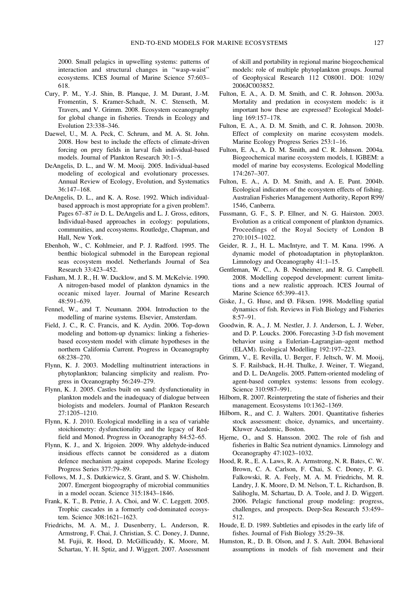2000. Small pelagics in upwelling systems: patterns of interaction and structural changes in ''wasp-waist'' ecosystems. ICES Journal of Marine Science 57:603– 618.

- Cury, P. M., Y.-J. Shin, B. Planque, J. M. Durant, J.-M. Fromentin, S. Kramer-Schadt, N. C. Stenseth, M. Travers, and V. Grimm. 2008. Ecosystem oceanography for global change in fisheries. Trends in Ecology and Evolution 23:338–346.
- Daewel, U., M. A. Peck, C. Schrum, and M. A. St. John. 2008. How best to include the effects of climate-driven forcing on prey fields in larval fish individual-based models. Journal of Plankton Research 30:1–5.
- DeAngelis, D. L., and W. M. Mooij. 2005. Individual-based modeling of ecological and evolutionary processes. Annual Review of Ecology, Evolution, and Systematics 36:147–168.
- DeAngelis, D. L., and K. A. Rose. 1992. Which individualbased approach is most appropriate for a given problem?. Pages 67–87 in D. L. DeAngelis and L. J. Gross, editors, Individual-based approaches in ecology: populations, communities, and ecosystems. Routledge, Chapman, and Hall, New York.
- Ebenhoh, W., C. Kohlmeier, and P. J. Radford. 1995. The benthic biological submodel in the European regional seas ecosystem model. Netherlands Journal of Sea Research 33:423–452.
- Fasham, M. J. R., H. W. Ducklow, and S. M. McKelvie. 1990. A nitrogen-based model of plankton dynamics in the oceanic mixed layer. Journal of Marine Research 48:591–639.
- Fennel, W., and T. Neumann. 2004. Introduction to the modelling of marine systems. Elsevier, Amsterdam.
- Field, J. C., R. C. Francis, and K. Aydin. 2006. Top-down modeling and bottom-up dynamics: linking a fisheriesbased ecosystem model with climate hypotheses in the northern California Current. Progress in Oceanography 68:238–270.
- Flynn, K. J. 2003. Modelling multinutrient interactions in phytoplankton; balancing simplicity and realism. Progress in Oceanography 56:249–279.
- Flynn, K. J. 2005. Castles built on sand: dysfunctionality in plankton models and the inadequacy of dialogue between biologists and modelers. Journal of Plankton Research 27:1205–1210.
- Flynn, K. J. 2010. Ecological modelling in a sea of variable stoichiometry: dysfunctionality and the legacy of Redfield and Monod. Progress in Oceanography 84:52–65.
- Flynn, K. J., and X. Irigoien. 2009. Why aldehyde-induced insidious effects cannot be considered as a diatom defence mechanism against copepods. Marine Ecology Progress Series 377:79–89.
- Follows, M. J., S. Dutkiewicz, S. Grant, and S. W. Chisholm. 2007. Emergent biogeography of microbial communities in a model ocean. Science 315:1843–1846.
- Frank, K. T., B. Petrie, J. A. Choi, and W. C. Leggett. 2005. Trophic cascades in a formerly cod-dominated ecosystem. Science 308:1621–1623.
- Friedrichs, M. A. M., J. Dusenberry, L. Anderson, R. Armstrong, F. Chai, J. Christian, S. C. Doney, J. Dunne, M. Fujii, R. Hood, D. McGillicuddy, K. Moore, M. Schartau, Y. H. Sptiz, and J. Wiggert. 2007. Assessment

of skill and portability in regional marine biogeochemical models: role of multiple phytoplankton groups. Journal of Geophysical Research 112 C08001. DOI: 1029/ 2006JC003852.

- Fulton, E. A., A. D. M. Smith, and C. R. Johnson. 2003a. Mortality and predation in ecosystem models: is it important how these are expressed? Ecological Modelling 169:157–178.
- Fulton, E. A., A. D. M. Smith, and C. R. Johnson. 2003b. Effect of complexity on marine ecosystem models. Marine Ecology Progress Series 253:1–16.
- Fulton, E. A., A. D. M. Smith, and C. R. Johnson. 2004a. Biogeochemical marine ecosystem models, I. IGBEM: a model of marine bay ecosystems. Ecological Modelling 174:267–307.
- Fulton, E. A., A. D. M. Smith, and A. E. Punt. 2004b. Ecological indicators of the ecosystem effects of fishing. Australian Fisheries Management Authority, Report R99/ 1546, Canberra.
- Fussmann, G. F., S. P. Ellner, and N. G. Hairston. 2003. Evolution as a critical component of plankton dynamics. Proceedings of the Royal Society of London B 270:1015–1022.
- Geider, R. J., H. L. MacIntyre, and T. M. Kana. 1996. A dynamic model of photoadaptation in phytoplankton. Limnology and Oceanography 41:1–15.
- Gentleman, W. C., A. B. Neuheimer, and R. G. Campbell. 2008. Modelling copepod development: current limitations and a new realistic approach. ICES Journal of Marine Science 65:399–413.
- Giske, J., G. Huse, and Ø. Fiksen. 1998. Modelling spatial dynamics of fish. Reviews in Fish Biology and Fisheries 8:57–91.
- Goodwin, R. A., J. M. Nestler, J. J. Anderson, L. J. Weber, and D. P. Loucks. 2006. Forecasting 3-D fish movement behavior using a Eulerian–Lagrangian–agent method (ELAM). Ecological Modelling 192:197–223.
- Grimm, V., E. Revilla, U. Berger, F. Jeltsch, W. M. Mooij, S. F. Railsback, H.-H. Thulke, J. Weiner, T. Wiegand, and D. L. DeAngelis. 2005. Pattern-oriented modeling of agent-based complex systems: lessons from ecology. Science 310:987–991.
- Hilborn, R. 2007. Reinterpreting the state of fisheries and their management. Ecosystems 10:1362–1369.
- Hilborn, R., and C. J. Walters. 2001. Quantitative fisheries stock assessment: choice, dynamics, and uncertainty. Kluwer Academic, Boston.
- Hjerne, O., and S. Hansson. 2002. The role of fish and fisheries in Baltic Sea nutrient dynamics. Limnology and Oceanography 47:1023–1032.
- Hood, R. R., E. A. Laws, R. A. Armstrong, N. R. Bates, C. W. Brown, C. A. Carlson, F. Chai, S. C. Doney, P. G. Falkowski, R. A. Feely, M. A. M. Friedrichs, M. R. Landry, J. K. Moore, D. M. Nelson, T. L. Richardson, B. Salihoglu, M. Schartau, D. A. Toole, and J. D. Wiggert. 2006. Pelagic functional group modeling: progress, challenges, and prospects. Deep-Sea Research 53:459– 512.
- Houde, E. D. 1989. Subtleties and episodes in the early life of fishes. Journal of Fish Biology 35:29–38.
- Humston, R., D. B. Olson, and J. S. Ault. 2004. Behavioral assumptions in models of fish movement and their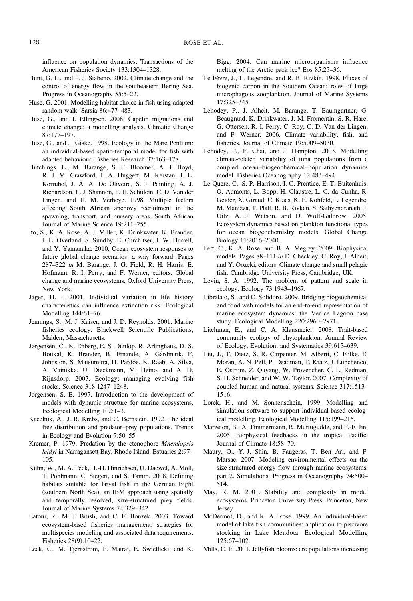influence on population dynamics. Transactions of the American Fisheries Society 133:1304–1328.

- Hunt, G. L., and P. J. Stabeno. 2002. Climate change and the control of energy flow in the southeastern Bering Sea. Progress in Oceanography 55:5–22.
- Huse, G. 2001. Modelling habitat choice in fish using adapted random walk. Sarsia 86:477–483.
- Huse, G., and I. Ellingsen. 2008. Capelin migrations and climate change: a modelling analysis. Climatic Change 87:177–197.
- Huse, G., and J. Giske. 1998. Ecology in the Mare Pentium: an individual-based spatio-temporal model for fish with adapted behaviour. Fisheries Research 37:163–178.
- Hutchings, L., M. Barange, S. F. Bloomer, A. J. Boyd, R. J. M. Crawford, J. A. Huggett, M. Kerstan, J. L. Korrubel, J. A. A. De Oliveira, S. J. Painting, A. J. Richardson, L. J. Shannon, F. H. Schulein, C. D. Van der Lingen, and H. M. Verheye. 1998. Multiple factors affecting South African anchovy recruitment in the spawning, transport, and nursery areas. South African Journal of Marine Science 19:211–255.
- Ito, S., K. A. Rose, A. J. Miller, K. Drinkwater, K. Brander, J. E. Overland, S. Sundby, E. Curchitser, J. W. Hurrell, and Y. Yamanaka. 2010. Ocean ecosystem responses to future global change scenarios: a way forward. Pages 287–322 in M. Barange, J. G. Field, R. H. Harris, E. Hofmann, R. I. Perry, and F. Werner, editors. Global change and marine ecosystems. Oxford University Press, New York.
- Jager, H. I. 2001. Individual variation in life history characteristics can influence extinction risk. Ecological Modelling 144:61–76.
- Jennings, S., M. J. Kaiser, and J. D. Reynolds. 2001. Marine fisheries ecology. Blackwell Scientific Publications, Malden, Massachusetts.
- Jørgensen, C., K. Enberg, E. S. Dunlop, R. Arlinghaus, D. S. Boukal, K. Brander, B. Ernande, A. Gårdmark, F. Johnston, S. Matsumura, H. Pardoe, K. Raab, A. Silva, A. Vainikka, U. Dieckmann, M. Heino, and A. D. Rijnsdorp. 2007. Ecology: managing evolving fish stocks. Science 318:1247–1248.
- Jorgensen, S. E. 1997. Introduction to the development of models with dynamic structure for marine ecosystems. Ecological Modelling 102:1–3.
- Kacelnik, A., J. R. Krebs, and C. Bernstein. 1992. The ideal free distribution and predator–prey populations. Trends in Ecology and Evolution 7:50–55.
- Kremer, P. 1979. Predation by the ctenophore Mnemiopsis leidyi in Narragansett Bay, Rhode Island. Estuaries 2:97– 105.
- Kühn, W., M. A. Peck, H.-H. Hinrichsen, U. Daewel, A. Moll, T. Pohlmann, C. Stegert, and S. Tamm. 2008. Defining habitats suitable for larval fish in the German Bight (southern North Sea): an IBM approach using spatially and temporally resolved, size-structured prey fields. Journal of Marine Systems 74:329–342.
- Latour, R., M. J. Brush, and C. F. Bonzek. 2003. Toward ecosystem-based fisheries management: strategies for multispecies modeling and associated data requirements. Fisheries 28(9):10–22.
- Leck, C., M. Tjernström, P. Matrai, E. Swietlicki, and K.

Bigg. 2004. Can marine microorganisms influence melting of the Arctic pack ice? Eos 85:25–36.

- Le Fèvre, J., L. Legendre, and R. B. Rivkin. 1998. Fluxes of biogenic carbon in the Southern Ocean; roles of large microphagous zooplankton. Journal of Marine Systems 17:325–345.
- Lehodey, P., J. Alheit, M. Barange, T. Baumgartner, G. Beaugrand, K. Drinkwater, J. M. Fromentin, S. R. Hare, G. Ottersen, R. I. Perry, C. Roy, C. D. Van der Lingen, and F. Werner. 2006. Climate variability, fish, and fisheries. Journal of Climate 19:5009–5030.
- Lehodey, P., F. Chai, and J. Hampton. 2003. Modelling climate-related variability of tuna populations from a coupled ocean–biogeochemical–population dynamics model. Fisheries Oceanography 12:483–494.
- Le Quere, C., S. P. Harrison, I. C. Prentice, E. T. Buitenhuis, O. Aumonts, L. Bopp, H. Claustre, L. C. da Cunha, R. Geider, X. Giraud, C. Klaas, K. E. Kohfeld, L. Legendre, M. Manizza, T. Platt, R. B. Rivkan, S. Sathyendranath, J. Uitz, A. J. Watson, and D. Wolf-Galdrow. 2005. Ecosystem dynamics based on plankton functional types for ocean biogeochemistry models. Global Change Biology 11:2016–2040.
- Lett, C., K. A. Rose, and B. A. Megrey. 2009. Biophysical models. Pages 88–111 in D. Checkley, C. Roy, J. Alheit, and Y. Oozeki, editors. Climate change and small pelagic fish. Cambridge University Press, Cambridge, UK.
- Levin, S. A. 1992. The problem of pattern and scale in ecology. Ecology 73:1943–1967.
- Libralato, S., and C. Solidoro. 2009. Bridging biogeochemical and food web models for an end-to-end representation of marine ecosystem dynamics: the Venice Lagoon case study. Ecological Modelling 220:2960–2971.
- Litchman, E., and C. A. Klausmeier. 2008. Trait-based community ecology of phytoplankton. Annual Review of Ecology, Evolution, and Systematics 39:615–639.
- Liu, J., T. Dietz, S. R. Carpenter, M. Alberti, C. Folke, E. Moran, A. N. Pell, P. Deadman, T. Kratz, J. Lubchenco, E. Ostrom, Z. Quyang, W. Provencher, C. L. Redman, S. H. Schneider, and W. W. Taylor. 2007. Complexity of coupled human and natural systems. Science 317:1513– 1516.
- Lorek, H., and M. Sonnenschein. 1999. Modelling and simulation software to support individual-based ecological modelling. Ecological Modelling 115:199–216.
- Marzeion, B., A. Timmermann, R. Murtugudde, and F.-F. Jin. 2005. Biophysical feedbacks in the tropical Pacific. Journal of Climate 18:58–70.
- Maury, O., Y.-J. Shin, B. Faugeras, T. Ben Ari, and F. Marsac. 2007. Modeling environmental effects on the size-structured energy flow through marine ecosystems, part 2. Simulations. Progress in Oceanography 74:500– 514.
- May, R. M. 2001. Stability and complexity in model ecosystems. Princeton University Press, Princeton, New Jersey.
- McDermot, D., and K. A. Rose. 1999. An individual-based model of lake fish communities: application to piscivore stocking in Lake Mendota. Ecological Modelling 125:67–102.
- Mills, C. E. 2001. Jellyfish blooms: are populations increasing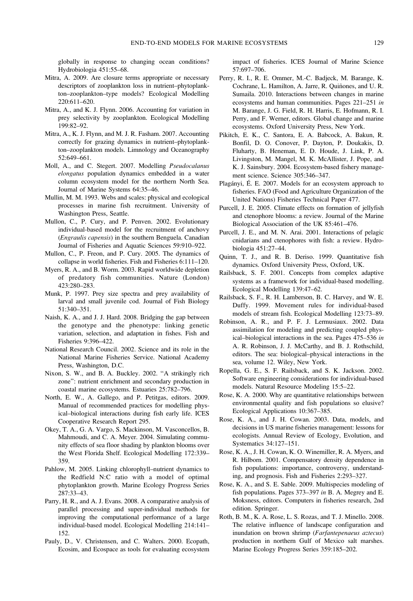globally in response to changing ocean conditions? Hydrobiologia 451:55–68.

- Mitra, A. 2009. Are closure terms appropriate or necessary descriptors of zooplankton loss in nutrient–phytoplankton–zooplankton–type models? Ecological Modelling 220:611–620.
- Mitra, A., and K. J. Flynn. 2006. Accounting for variation in prey selectivity by zooplankton. Ecological Modelling 199:82–92.
- Mitra, A., K. J. Flynn, and M. J. R. Fasham. 2007. Accounting correctly for grazing dynamics in nutrient–phytoplankton–zooplankton models. Limnology and Oceanography 52:649–661.
- Moll, A., and C. Stegert. 2007. Modelling Pseudocalanus elongatus population dynamics embedded in a water column ecosystem model for the northern North Sea. Journal of Marine Systems 64:35–46.
- Mullin, M. M. 1993. Webs and scales: physical and ecological processes in marine fish recruitment. University of Washington Press, Seattle.
- Mullon, C., P. Cury, and P. Penven. 2002. Evolutionary individual-based model for the recruitment of anchovy (Engraulis capensis) in the southern Benguela. Canadian Journal of Fisheries and Aquatic Sciences 59:910–922.
- Mullon, C., P. Freon, and P. Cury. 2005. The dynamics of collapse in world fisheries. Fish and Fisheries 6:111–120.
- Myers, R. A., and B. Worm. 2003. Rapid worldwide depletion of predatory fish communities. Nature (London) 423:280–283.
- Munk, P. 1997. Prey size spectra and prey availability of larval and small juvenile cod. Journal of Fish Biology 51:340–351.
- Naish, K. A., and J. J. Hard. 2008. Bridging the gap between the genotype and the phenotype: linking genetic variation, selection, and adaptation in fishes. Fish and Fisheries 9:396–422.
- National Research Council. 2002. Science and its role in the National Marine Fisheries Service. National Academy Press, Washington, D.C.
- Nixon, S. W., and B. A. Buckley. 2002. ''A strikingly rich zone'': nutrient enrichment and secondary production in coastal marine ecosystems. Estuaries 25:782–796.
- North, E. W., A. Gallego, and P. Petitgas, editors. 2009. Manual of recommended practices for modelling physical–biological interactions during fish early life. ICES Cooperative Research Report 295.
- Okey, T. A., G. A. Vargo, S. Mackinson, M. Vasconcellos, B. Mahmoudi, and C. A. Meyer. 2004. Simulating community effects of sea floor shading by plankton blooms over the West Florida Shelf. Ecological Modelling 172:339– 359.
- Pahlow, M. 2005. Linking chlorophyll–nutrient dynamics to the Redfield N:C ratio with a model of optimal phytoplankton growth. Marine Ecology Progress Series 287:33–43.
- Parry, H. R., and A. J. Evans. 2008. A comparative analysis of parallel processing and super-individual methods for improving the computational performance of a large individual-based model. Ecological Modelling 214:141– 152.
- Pauly, D., V. Christensen, and C. Walters. 2000. Ecopath, Ecosim, and Ecospace as tools for evaluating ecosystem

impact of fisheries. ICES Journal of Marine Science 57:697–706.

- Perry, R. I., R. E. Ommer, M.-C. Badjeck, M. Barange, K. Cochrane, L. Hamilton, A. Jarre, R. Quiñones, and U. R. Sumaila. 2010. Interactions between changes in marine ecosystems and human communities. Pages 221–251 in M. Barange, J. G. Field, R. H. Harris, E. Hofmann, R. I. Perry, and F. Werner, editors. Global change and marine ecosystems. Oxford University Press, New York.
- Pikitch, E. K., C. Santora, E. A. Babcock, A. Bakun, R. Bonfil, D. O. Conover, P. Dayton, P. Doukakis, D. Fluharty, B. Heneman, E. D. Houde, J. Link, P. A. Livingston, M. Mangel, M. K. McAllister, J. Pope, and K. J. Sainsbury. 2004. Ecosystem-based fishery management science. Science 305:346–347.
- Plagányi, É. E. 2007. Models for an ecosystem approach to fisheries. FAO (Food and Agriculture Organization of the United Nations) Fisheries Technical Paper 477.
- Purcell, J. E. 2005. Climate effects on formation of jellyfish and ctenophore blooms: a review. Journal of the Marine Biological Association of the UK 85:461–476.
- Purcell, J. E., and M. N. Arai. 2001. Interactions of pelagic cnidarians and ctenophores with fish: a review. Hydrobiologia 451:27–44.
- Quinn, T. J., and R. B. Deriso. 1999. Quantitative fish dynamics. Oxford University Press, Oxford, UK.
- Railsback, S. F. 2001. Concepts from complex adaptive systems as a framework for individual-based modelling. Ecological Modelling 139:47–62.
- Railsback, S. F., R. H. Lamberson, B. C. Harvey, and W. E. Duffy. 1999. Movement rules for individual-based models of stream fish. Ecological Modelling 123:73–89.
- Robinson, A. R., and P. F. J. Lermusiaux. 2002. Data assimilation for modeling and predicting coupled physical–biological interactions in the sea. Pages 475–536 in A. R. Robinson, J. J. McCarthy, and B. J. Rothschild, editors. The sea: biological–physical interactions in the sea, volume 12. Wiley, New York.
- Ropella, G. E., S. F. Railsback, and S. K. Jackson. 2002. Software engineering considerations for individual-based models. Natural Resource Modeling 15:5–22.
- Rose, K. A. 2000. Why are quantitative relationships between environmental quality and fish populations so elusive? Ecological Applications 10:367–385.
- Rose, K. A., and J. H. Cowan. 2003. Data, models, and decisions in US marine fisheries management: lessons for ecologists. Annual Review of Ecology, Evolution, and Systematics 34:127–151.
- Rose, K. A., J. H. Cowan, K. O. Winemiller, R. A. Myers, and R. Hilborn. 2001. Compensatory density dependence in fish populations: importance, controversy, understanding, and prognosis. Fish and Fisheries 2:293–327.
- Rose, K. A., and S. E. Sable. 2009. Multispecies modeling of fish populations. Pages 373–397 in B. A. Megrey and E. Moksness, editors. Computers in fisheries research, 2nd edition. Springer.
- Roth, B. M., K. A. Rose, L. S. Rozas, and T. J. Minello. 2008. The relative influence of landscape configuration and inundation on brown shrimp (Farfantepenaeus aztecus) production in northern Gulf of Mexico salt marshes. Marine Ecology Progress Series 359:185–202.